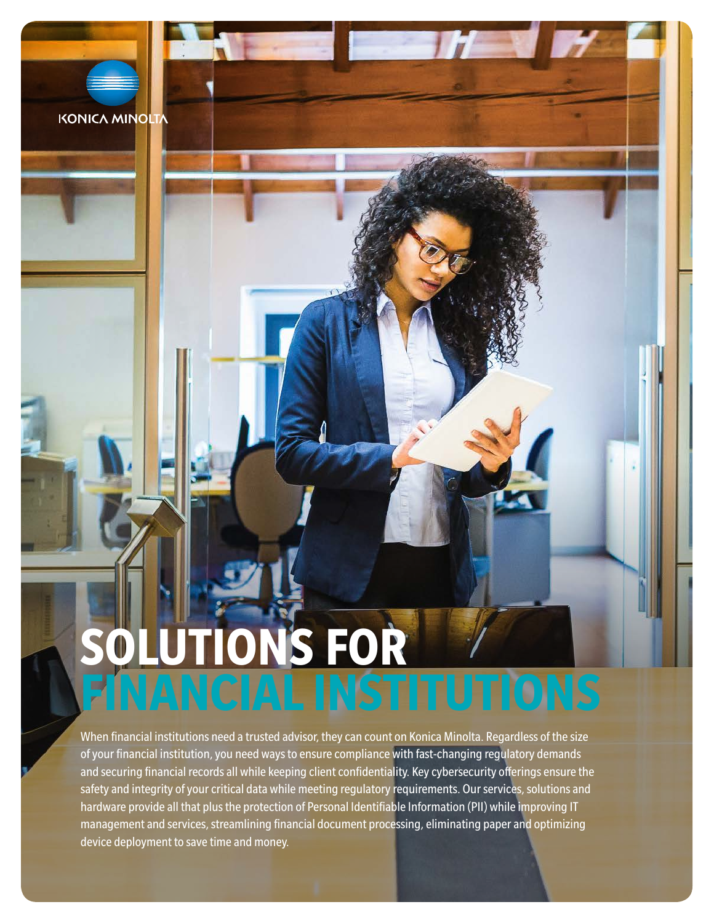# **KONICA MINOLTA**

# **TIONS FOR FINANCIAL INSTITUTIONS**

When financial institutions need a trusted advisor, they can count on Konica Minolta. Regardless of the size of your financial institution, you need ways to ensure compliance with fast-changing regulatory demands and securing financial records all while keeping client confidentiality. Key cybersecurity offerings ensure the safety and integrity of your critical data while meeting regulatory requirements. Our services, solutions and hardware provide all that plus the protection of Personal Identifiable Information (PII) while improving IT management and services, streamlining financial document processing, eliminating paper and optimizing device deployment to save time and money.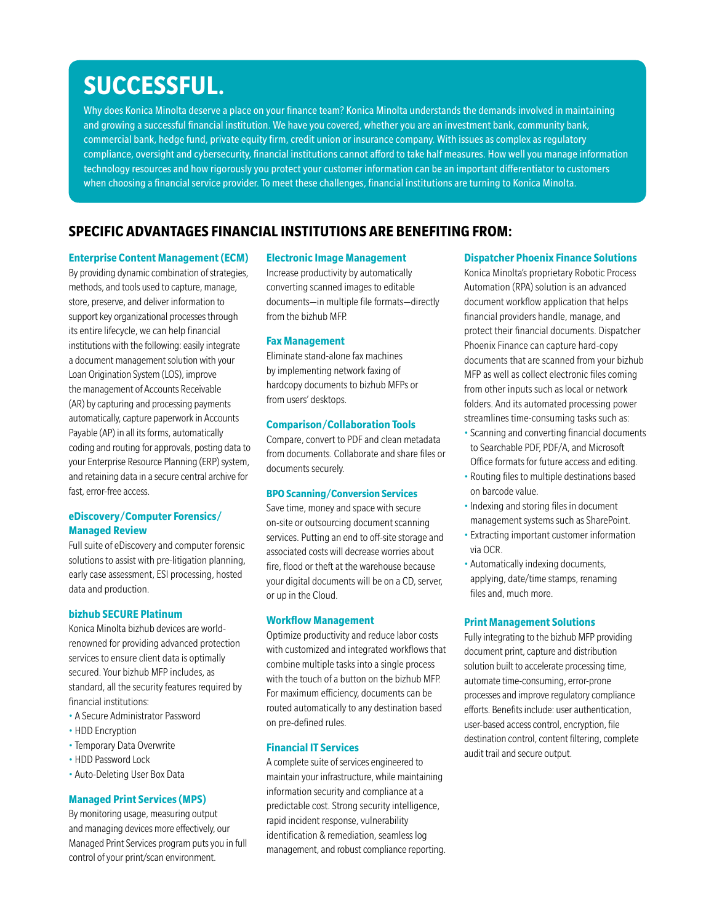# **SUCCESSFUL.**

Why does Konica Minolta deserve a place on your finance team? Konica Minolta understands the demands involved in maintaining and growing a successful financial institution. We have you covered, whether you are an investment bank, community bank, commercial bank, hedge fund, private equity firm, credit union or insurance company. With issues as complex as regulatory compliance, oversight and cybersecurity, financial institutions cannot afford to take half measures. How well you manage information technology resources and how rigorously you protect your customer information can be an important differentiator to customers when choosing a financial service provider. To meet these challenges, financial institutions are turning to Konica Minolta.

# **SPECIFIC ADVANTAGES FINANCIAL INSTITUTIONS ARE BENEFITING FROM:**

#### **Enterprise Content Management (ECM)**

By providing dynamic combination of strategies, methods, and tools used to capture, manage, store, preserve, and deliver information to support key organizational processes through its entire lifecycle, we can help financial institutions with the following: easily integrate a document management solution with your Loan Origination System (LOS), improve the management of Accounts Receivable (AR) by capturing and processing payments automatically, capture paperwork in Accounts Payable (AP) in all its forms, automatically coding and routing for approvals, posting data to your Enterprise Resource Planning (ERP) system, and retaining data in a secure central archive for fast, error-free access.

### **eDiscovery/Computer Forensics/ Managed Review**

Full suite of eDiscovery and computer forensic solutions to assist with pre-litigation planning, early case assessment, ESI processing, hosted data and production.

#### **bizhub SECURE Platinum**

Konica Minolta bizhub devices are worldrenowned for providing advanced protection services to ensure client data is optimally secured. Your bizhub MFP includes, as standard, all the security features required by financial institutions:

- A Secure Administrator Password
- HDD Encryption
- Temporary Data Overwrite
- HDD Password Lock
- Auto-Deleting User Box Data

#### **Managed Print Services (MPS)**

By monitoring usage, measuring output and managing devices more effectively, our Managed Print Services program puts you in full control of your print/scan environment.

#### **Electronic Image Management**

Increase productivity by automatically converting scanned images to editable documents—in multiple file formats—directly from the bizhub MFP.

#### **Fax Management**

Eliminate stand-alone fax machines by implementing network faxing of hardcopy documents to bizhub MFPs or from users' desktops.

#### **Comparison/Collaboration Tools**

Compare, convert to PDF and clean metadata from documents. Collaborate and share files or documents securely.

### **BPO Scanning/Conversion Services**

Save time, money and space with secure on-site or outsourcing document scanning services. Putting an end to off-site storage and associated costs will decrease worries about fire, flood or theft at the warehouse because your digital documents will be on a CD, server, or up in the Cloud.

#### **Workflow Management**

Optimize productivity and reduce labor costs with customized and integrated workflows that combine multiple tasks into a single process with the touch of a button on the bizhub MFP. For maximum efficiency, documents can be routed automatically to any destination based on pre-defined rules.

#### **Financial IT Services**

A complete suite of services engineered to maintain your infrastructure, while maintaining information security and compliance at a predictable cost. Strong security intelligence, rapid incident response, vulnerability identification & remediation, seamless log management, and robust compliance reporting.

#### **Dispatcher Phoenix Finance Solutions**

Konica Minolta's proprietary Robotic Process Automation (RPA) solution is an advanced document workflow application that helps financial providers handle, manage, and protect their financial documents. Dispatcher Phoenix Finance can capture hard-copy documents that are scanned from your bizhub MFP as well as collect electronic files coming from other inputs such as local or network folders. And its automated processing power streamlines time-consuming tasks such as:

- Scanning and converting financial documents to Searchable PDF, PDF/A, and Microsoft Office formats for future access and editing.
- Routing files to multiple destinations based on barcode value.
- Indexing and storing files in document management systems such as SharePoint.
- Extracting important customer information via OCR.
- Automatically indexing documents, applying, date/time stamps, renaming files and, much more.

#### **Print Management Solutions**

Fully integrating to the bizhub MFP providing document print, capture and distribution solution built to accelerate processing time, automate time-consuming, error-prone processes and improve regulatory compliance efforts. Benefits include: user authentication, user-based access control, encryption, file destination control, content filtering, complete audit trail and secure output.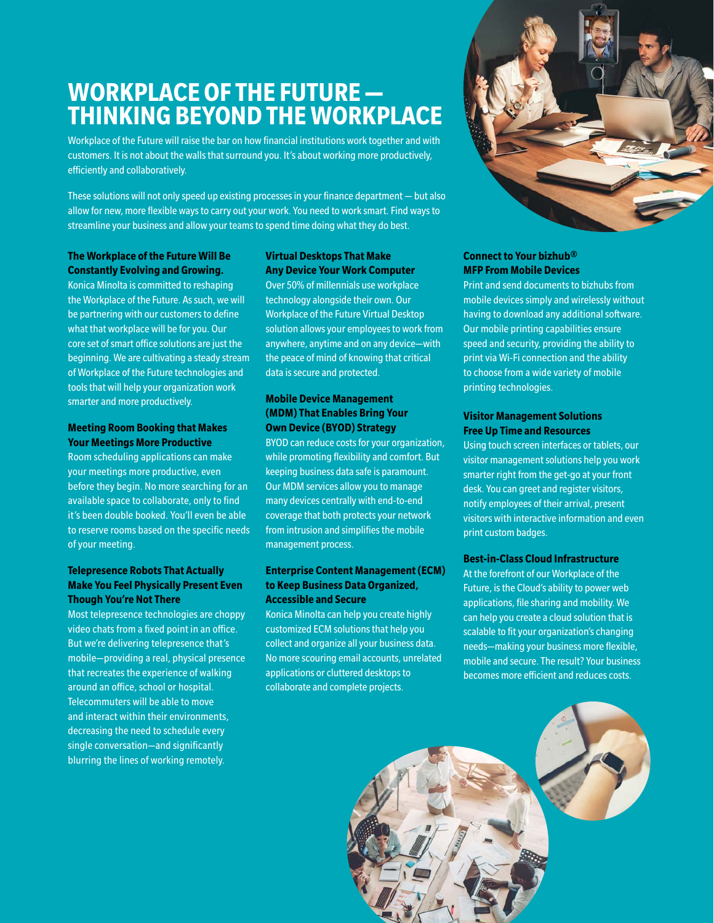# **WORKPLACE OF THE FUTURE — THINKING BEYOND THE WORKPLACE**

Workplace of the Future will raise the bar on how financial institutions work together and with customers. It is not about the walls that surround you. It's about working more productively, efficiently and collaboratively.

These solutions will not only speed up existing processes in your finance department — but also allow for new, more flexible ways to carry out your work. You need to work smart. Find ways to streamline your business and allow your teams to spend time doing what they do best.

# **The Workplace of the Future Will Be Constantly Evolving and Growing.**

Konica Minolta is committed to reshaping the Workplace of the Future. As such, we will be partnering with our customers to define what that workplace will be for you. Our core set of smart office solutions are just the beginning. We are cultivating a steady stream of Workplace of the Future technologies and tools that will help your organization work smarter and more productively.

# **Meeting Room Booking that Makes Your Meetings More Productive**

Room scheduling applications can make your meetings more productive, even before they begin. No more searching for an available space to collaborate, only to find it's been double booked. You'll even be able to reserve rooms based on the specific needs of your meeting.

# **Telepresence Robots That Actually Make You Feel Physically Present Even Though You're Not There**

Most telepresence technologies are choppy video chats from a fixed point in an office. But we're delivering telepresence that's mobile—providing a real, physical presence that recreates the experience of walking around an office, school or hospital. Telecommuters will be able to move and interact within their environments, decreasing the need to schedule every single conversation—and significantly blurring the lines of working remotely.

# **Virtual Desktops That Make Any Device Your Work Computer**

Over 50% of millennials use workplace technology alongside their own. Our Workplace of the Future Virtual Desktop solution allows your employees to work from anywhere, anytime and on any device—with the peace of mind of knowing that critical data is secure and protected.

# **Mobile Device Management (MDM) That Enables Bring Your Own Device (BYOD) Strategy**

BYOD can reduce costs for your organization, while promoting flexibility and comfort. But keeping business data safe is paramount. Our MDM services allow you to manage many devices centrally with end-to-end coverage that both protects your network from intrusion and simplifies the mobile management process.

### **Enterprise Content Management (ECM) to Keep Business Data Organized, Accessible and Secure**

Konica Minolta can help you create highly customized ECM solutions that help you collect and organize all your business data. No more scouring email accounts, unrelated applications or cluttered desktops to collaborate and complete projects.



# **Connect to Your bizhub® MFP From Mobile Devices**

Print and send documents to bizhubs from mobile devices simply and wirelessly without having to download any additional software. Our mobile printing capabilities ensure speed and security, providing the ability to print via Wi-Fi connection and the ability to choose from a wide variety of mobile printing technologies.

### **Visitor Management Solutions Free Up Time and Resources**

Using touch screen interfaces or tablets, our visitor management solutions help you work smarter right from the get-go at your front desk. You can greet and register visitors, notify employees of their arrival, present visitors with interactive information and even print custom badges.

### **Best-in-Class Cloud Infrastructure**

At the forefront of our Workplace of the Future, is the Cloud's ability to power web applications, file sharing and mobility. We can help you create a cloud solution that is scalable to fit your organization's changing needs—making your business more flexible, mobile and secure. The result? Your business becomes more efficient and reduces costs.